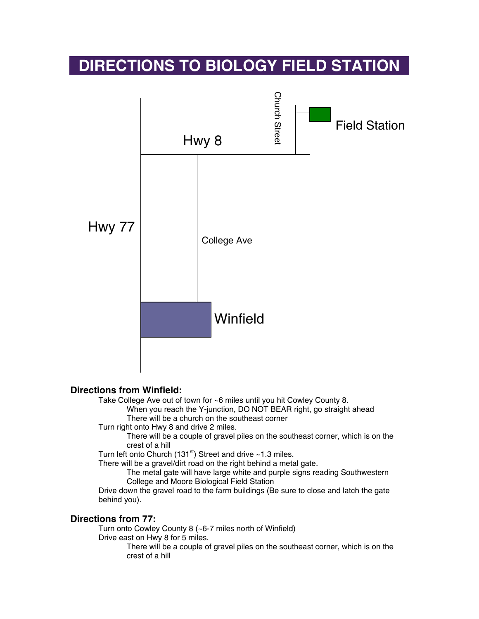## **DIRECTIONS TO BIOLOGY FIELD STATION**



## **Directions from Winfield:**

Take College Ave out of town for ~6 miles until you hit Cowley County 8.

When you reach the Y-junction, DO NOT BEAR right, go straight ahead There will be a church on the southeast corner

Turn right onto Hwy 8 and drive 2 miles.

There will be a couple of gravel piles on the southeast corner, which is on the crest of a hill

Turn left onto Church (131 $\mathrm{^{st}}$ ) Street and drive ~1.3 miles.

There will be a gravel/dirt road on the right behind a metal gate.

The metal gate will have large white and purple signs reading Southwestern College and Moore Biological Field Station

Drive down the gravel road to the farm buildings (Be sure to close and latch the gate behind you).

## **Directions from 77:**

Turn onto Cowley County 8 (~6-7 miles north of Winfield)

Drive east on Hwy 8 for 5 miles.

There will be a couple of gravel piles on the southeast corner, which is on the crest of a hill